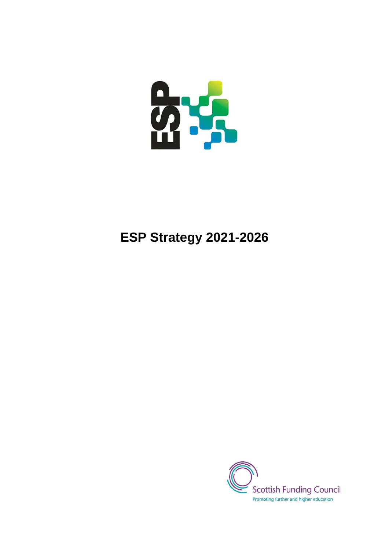

# **ESP Strategy 2021-2026**

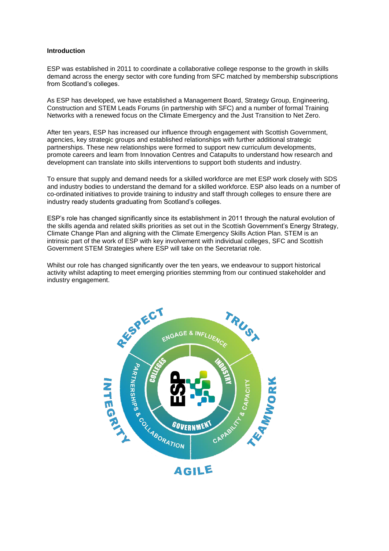#### **Introduction**

ESP was established in 2011 to coordinate a collaborative college response to the growth in skills demand across the energy sector with core funding from SFC matched by membership subscriptions from Scotland's colleges.

As ESP has developed, we have established a Management Board, Strategy Group, Engineering, Construction and STEM Leads Forums (in partnership with SFC) and a number of formal Training Networks with a renewed focus on the Climate Emergency and the Just Transition to Net Zero.

After ten years, ESP has increased our influence through engagement with Scottish Government, agencies, key strategic groups and established relationships with further additional strategic partnerships. These new relationships were formed to support new curriculum developments, promote careers and learn from Innovation Centres and Catapults to understand how research and development can translate into skills interventions to support both students and industry.

To ensure that supply and demand needs for a skilled workforce are met ESP work closely with SDS and industry bodies to understand the demand for a skilled workforce. ESP also leads on a number of co-ordinated initiatives to provide training to industry and staff through colleges to ensure there are industry ready students graduating from Scotland's colleges.

ESP's role has changed significantly since its establishment in 2011 through the natural evolution of the skills agenda and related skills priorities as set out in the Scottish Government's Energy Strategy, Climate Change Plan and aligning with the Climate Emergency Skills Action Plan. STEM is an intrinsic part of the work of ESP with key involvement with individual colleges, SFC and Scottish Government STEM Strategies where ESP will take on the Secretariat role.

Whilst our role has changed significantly over the ten years, we endeavour to support historical activity whilst adapting to meet emerging priorities stemming from our continued stakeholder and industry engagement.

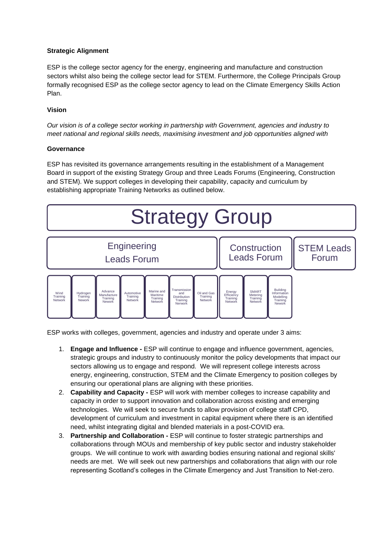### **Strategic Alignment**

ESP is the college sector agency for the energy, engineering and manufacture and construction sectors whilst also being the college sector lead for STEM. Furthermore, the College Principals Group formally recognised ESP as the college sector agency to lead on the Climate Emergency Skills Action Plan.

### **Vision**

*Our vision is of a college sector working in partnership with Government, agencies and industry to meet national and regional skills needs, maximising investment and job opportunities aligned with* 

#### **Governance**

ESP has revisited its governance arrangements resulting in the establishment of a Management Board in support of the existing Strategy Group and three Leads Forums (Engineering, Construction and STEM). We support colleges in developing their capability, capacity and curriculum by establishing appropriate Training Networks as outlined below.



ESP works with colleges, government, agencies and industry and operate under 3 aims:

- 1. **Engage and Influence -** ESP will continue to engage and influence government, agencies, strategic groups and industry to continuously monitor the policy developments that impact our sectors allowing us to engage and respond. We will represent college interests across energy, engineering, construction, STEM and the Climate Emergency to position colleges by ensuring our operational plans are aligning with these priorities.
- 2. **Capability and Capacity -** ESP will work with member colleges to increase capability and capacity in order to support innovation and collaboration across existing and emerging technologies. We will seek to secure funds to allow provision of college staff CPD, development of curriculum and investment in capital equipment where there is an identified need, whilst integrating digital and blended materials in a post-COVID era.
- 3. **Partnership and Collaboration -** ESP will continue to foster strategic partnerships and collaborations through MOUs and membership of key public sector and industry stakeholder groups. We will continue to work with awarding bodies ensuring national and regional skills' needs are met. We will seek out new partnerships and collaborations that align with our role representing Scotland's colleges in the Climate Emergency and Just Transition to Net-zero.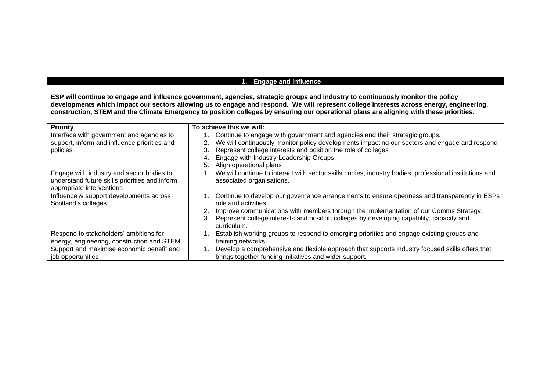#### **1. Engage and Influence**

**ESP will continue to engage and influence government, agencies, strategic groups and industry to continuously monitor the policy developments which impact our sectors allowing us to engage and respond. We will represent college interests across energy, engineering, construction, STEM and the Climate Emergency to position colleges by ensuring our operational plans are aligning with these priorities.** 

| <b>Priority</b>                                                                                                          | To achieve this we will:                                                                                                                                                                                                                                                                                                             |
|--------------------------------------------------------------------------------------------------------------------------|--------------------------------------------------------------------------------------------------------------------------------------------------------------------------------------------------------------------------------------------------------------------------------------------------------------------------------------|
| Interface with government and agencies to<br>support, inform and influence priorities and<br>policies                    | Continue to engage with government and agencies and their strategic groups.<br>We will continuously monitor policy developments impacting our sectors and engage and respond<br>2.<br>Represent college interests and position the role of colleges<br>3.<br>Engage with Industry Leadership Groups<br>Align operational plans<br>5. |
| Engage with industry and sector bodies to<br>understand future skills priorities and inform<br>appropriate interventions | We will continue to interact with sector skills bodies, industry bodies, professional institutions and<br>associated organisations.                                                                                                                                                                                                  |
| Influence & support developments across<br>Scotland's colleges                                                           | Continue to develop our governance arrangements to ensure openness and transparency in ESPs<br>role and activities.<br>Improve communications with members through the implementation of our Comms Strategy.<br>Represent college interests and position colleges by developing capability, capacity and<br>3.<br>curriculum.        |
| Respond to stakeholders' ambitions for<br>energy, engineering, construction and STEM                                     | Establish working groups to respond to emerging priorities and engage existing groups and<br>training networks.                                                                                                                                                                                                                      |
| Support and maximise economic benefit and<br>job opportunities                                                           | Develop a comprehensive and flexible approach that supports industry focused skills offers that<br>brings together funding initiatives and wider support.                                                                                                                                                                            |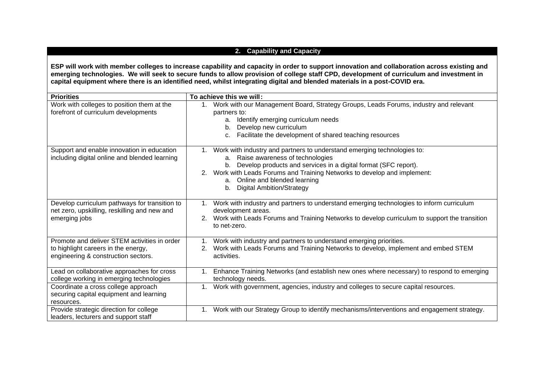#### **2. Capability and Capacity**

**ESP will work with member colleges to increase capability and capacity in order to support innovation and collaboration across existing and emerging technologies. We will seek to secure funds to allow provision of college staff CPD, development of curriculum and investment in capital equipment where there is an identified need, whilst integrating digital and blended materials in a post-COVID era.**

| <b>Priorities</b>                                                                                                                                                        | To achieve this we will:                                                                                                                                                                                                                                                                                                                           |
|--------------------------------------------------------------------------------------------------------------------------------------------------------------------------|----------------------------------------------------------------------------------------------------------------------------------------------------------------------------------------------------------------------------------------------------------------------------------------------------------------------------------------------------|
| Work with colleges to position them at the<br>forefront of curriculum developments                                                                                       | Work with our Management Board, Strategy Groups, Leads Forums, industry and relevant<br>1.<br>partners to:<br>Identify emerging curriculum needs<br>a.<br>Develop new curriculum<br>b.<br>Facilitate the development of shared teaching resources<br>c.                                                                                            |
| Support and enable innovation in education<br>including digital online and blended learning                                                                              | Work with industry and partners to understand emerging technologies to:<br>Raise awareness of technologies<br>a.<br>Develop products and services in a digital format (SFC report).<br>b.<br>Work with Leads Forums and Training Networks to develop and implement:<br>2.<br>Online and blended learning<br><b>Digital Ambition/Strategy</b><br>b. |
| Develop curriculum pathways for transition to<br>net zero, upskilling, reskilling and new and<br>emerging jobs                                                           | Work with industry and partners to understand emerging technologies to inform curriculum<br>1.<br>development areas.<br>Work with Leads Forums and Training Networks to develop curriculum to support the transition<br>2.<br>to net-zero.                                                                                                         |
| Promote and deliver STEM activities in order<br>to highlight careers in the energy,<br>engineering & construction sectors.                                               | Work with industry and partners to understand emerging priorities.<br>Work with Leads Forums and Training Networks to develop, implement and embed STEM<br>2.<br>activities.                                                                                                                                                                       |
| Lead on collaborative approaches for cross<br>college working in emerging technologies<br>Coordinate a cross college approach<br>securing capital equipment and learning | Enhance Training Networks (and establish new ones where necessary) to respond to emerging<br>$1_{\cdot}$<br>technology needs.<br>Work with government, agencies, industry and colleges to secure capital resources.<br>$1_{\cdot}$                                                                                                                 |
| resources.<br>Provide strategic direction for college<br>leaders, lecturers and support staff                                                                            | Work with our Strategy Group to identify mechanisms/interventions and engagement strategy.                                                                                                                                                                                                                                                         |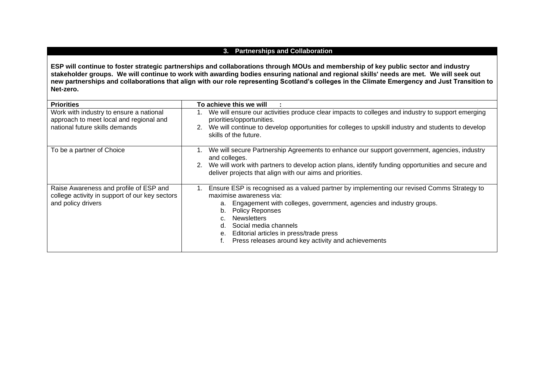#### **3. Partnerships and Collaboration**

**ESP will continue to foster strategic partnerships and collaborations through MOUs and membership of key public sector and industry stakeholder groups. We will continue to work with awarding bodies ensuring national and regional skills' needs are met. We will seek out new partnerships and collaborations that align with our role representing Scotland's colleges in the Climate Emergency and Just Transition to Net-zero.**

| <b>Priorities</b>                                                                                                    | To achieve this we will                                                                                                                                                                                                                                                                                                                                                                              |
|----------------------------------------------------------------------------------------------------------------------|------------------------------------------------------------------------------------------------------------------------------------------------------------------------------------------------------------------------------------------------------------------------------------------------------------------------------------------------------------------------------------------------------|
| Work with industry to ensure a national<br>approach to meet local and regional and<br>national future skills demands | We will ensure our activities produce clear impacts to colleges and industry to support emerging<br>priorities/opportunities.<br>We will continue to develop opportunities for colleges to upskill industry and students to develop<br>2.<br>skills of the future.                                                                                                                                   |
| To be a partner of Choice                                                                                            | We will secure Partnership Agreements to enhance our support government, agencies, industry<br>and colleges.<br>We will work with partners to develop action plans, identify funding opportunities and secure and<br>deliver projects that align with our aims and priorities.                                                                                                                       |
| Raise Awareness and profile of ESP and<br>college activity in support of our key sectors<br>and policy drivers       | Ensure ESP is recognised as a valued partner by implementing our revised Comms Strategy to<br>maximise awareness via:<br>Engagement with colleges, government, agencies and industry groups.<br>a.<br><b>Policy Reponses</b><br>b.<br><b>Newsletters</b><br>Social media channels<br>$d_{-}$<br>Editorial articles in press/trade press<br>е.<br>Press releases around key activity and achievements |